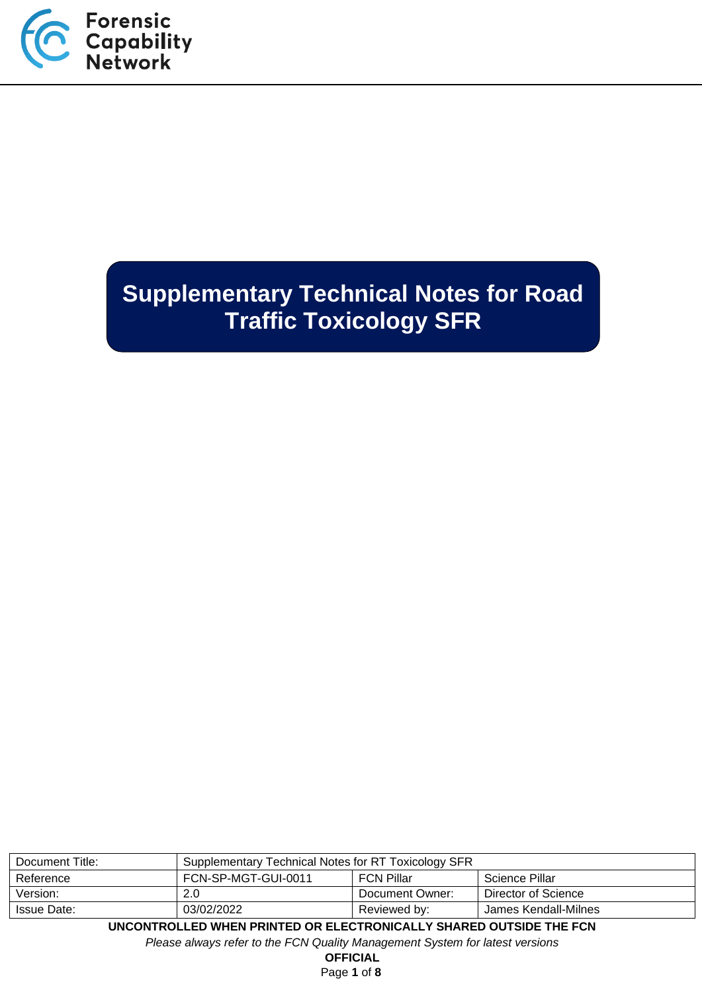

# **Supplementary Technical Notes for Road Traffic Toxicology SFR**

| Document Title:                                                    | Supplementary Technical Notes for RT Toxicology SFR |                 |                     |
|--------------------------------------------------------------------|-----------------------------------------------------|-----------------|---------------------|
| Reference                                                          | FCN-SP-MGT-GUI-0011<br>FCN Pillar<br>Science Pillar |                 |                     |
| Version:                                                           | 2.0                                                 | Document Owner: | Director of Science |
| 03/02/2022<br>James Kendall-Milnes<br>Issue Date:<br>Reviewed by:  |                                                     |                 |                     |
| UNCONTROLLED WHEN PRINTED OR ELECTRONICALLY SHARED OUTSIDE THE FCN |                                                     |                 |                     |

*Please always refer to the FCN Quality Management System for latest versions*

**OFFICIAL**

Page **1** of **8**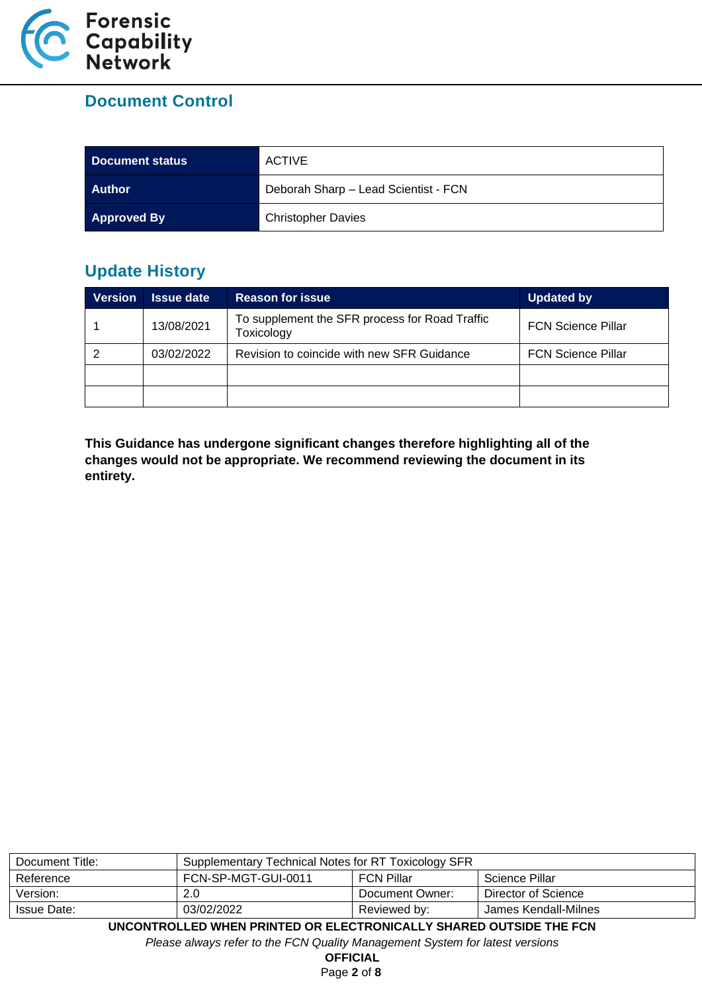

# **Document Control**

| Document status    | <b>ACTIVE</b>                        |
|--------------------|--------------------------------------|
| <b>Author</b>      | Deborah Sharp - Lead Scientist - FCN |
| <b>Approved By</b> | <b>Christopher Davies</b>            |

# **Update History**

| <b>Version</b> | <b>Issue date</b> | <b>Reason for issue</b>                                      | <b>Updated by</b>         |
|----------------|-------------------|--------------------------------------------------------------|---------------------------|
|                | 13/08/2021        | To supplement the SFR process for Road Traffic<br>Toxicology | <b>FCN Science Pillar</b> |
|                | 03/02/2022        | Revision to coincide with new SFR Guidance                   | <b>FCN Science Pillar</b> |
|                |                   |                                                              |                           |
|                |                   |                                                              |                           |

**This Guidance has undergone significant changes therefore highlighting all of the changes would not be appropriate. We recommend reviewing the document in its entirety.**

| Document Title:                                                    | Supplementary Technical Notes for RT Toxicology SFR |                   |                     |
|--------------------------------------------------------------------|-----------------------------------------------------|-------------------|---------------------|
| Reference                                                          | FCN-SP-MGT-GUI-0011                                 | <b>FCN Pillar</b> | Science Pillar      |
| Version:                                                           | 2.0                                                 | Document Owner:   | Director of Science |
| 03/02/2022<br>James Kendall-Milnes<br>Issue Date:<br>Reviewed by:  |                                                     |                   |                     |
| UNCONTROLLED WHEN PRINTED OR ELECTRONICALLY SHARED OUTSIDE THE FCN |                                                     |                   |                     |

*Please always refer to the FCN Quality Management System for latest versions*

**OFFICIAL**

Page **2** of **8**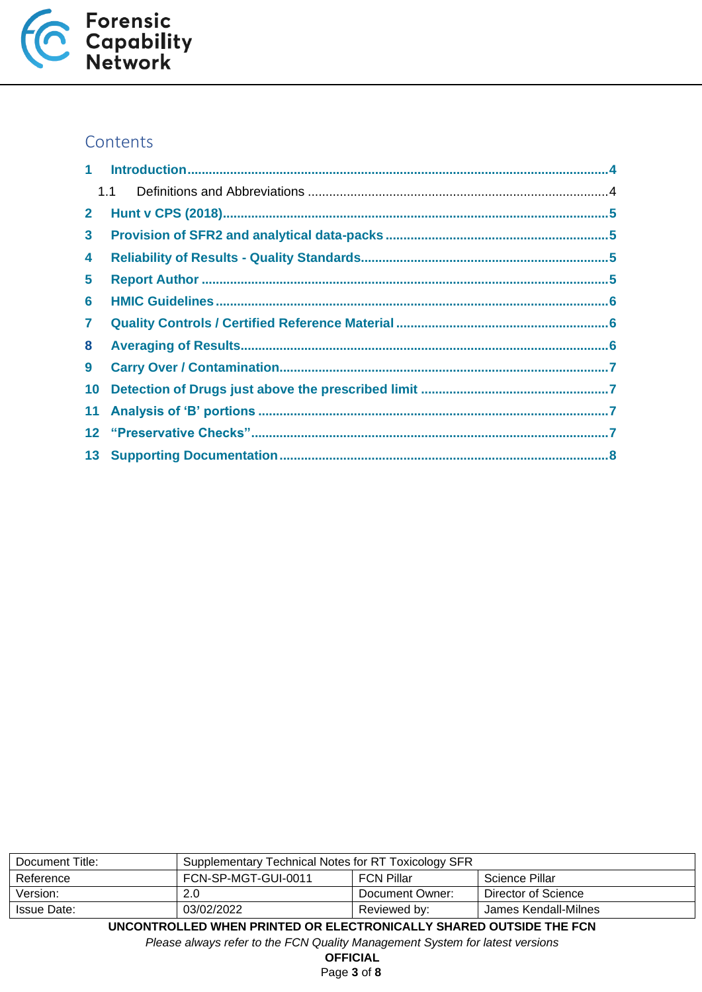

# **Contents**

|                 | 1.1 |  |
|-----------------|-----|--|
| $\mathbf{2}$    |     |  |
| 3 <sup>1</sup>  |     |  |
| 4               |     |  |
| 5               |     |  |
| 6               |     |  |
| $\mathbf{7}$    |     |  |
| 8               |     |  |
| 9               |     |  |
| 10 <sub>1</sub> |     |  |
|                 |     |  |
|                 |     |  |
|                 |     |  |
|                 |     |  |

| Document Title:                                                          | Supplementary Technical Notes for RT Toxicology SFR        |                 |                     |  |
|--------------------------------------------------------------------------|------------------------------------------------------------|-----------------|---------------------|--|
| Reference                                                                | FCN-SP-MGT-GUI-0011<br><b>FCN Pillar</b><br>Science Pillar |                 |                     |  |
| Version:                                                                 | 2.0                                                        | Document Owner: | Director of Science |  |
| 03/02/2022<br>Reviewed by:<br>James Kendall-Milnes<br>Issue Date:        |                                                            |                 |                     |  |
| IINCONTROLI EN WUEN RRINTEN OR EL ECTRONICALI Y SUAREN OLITSINE TUE ECNI |                                                            |                 |                     |  |

**UTSIDE THE FCN** 

*Please always refer to the FCN Quality Management System for latest versions*

**OFFICIAL**

Page **3** of **8**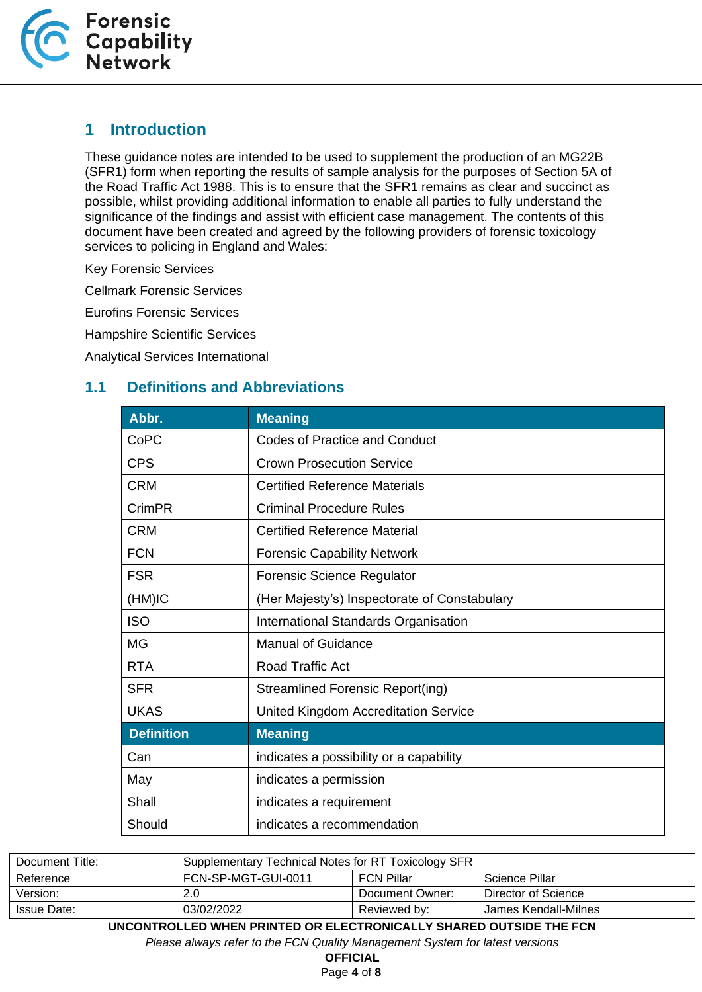

#### <span id="page-3-0"></span>**1 Introduction**

These guidance notes are intended to be used to supplement the production of an MG22B (SFR1) form when reporting the results of sample analysis for the purposes of Section 5A of the Road Traffic Act 1988. This is to ensure that the SFR1 remains as clear and succinct as possible, whilst providing additional information to enable all parties to fully understand the significance of the findings and assist with efficient case management. The contents of this document have been created and agreed by the following providers of forensic toxicology services to policing in England and Wales:

Key Forensic Services

Cellmark Forensic Services

Eurofins Forensic Services

Hampshire Scientific Services

Analytical Services International

#### <span id="page-3-1"></span>**1.1 Definitions and Abbreviations**

| Abbr.             | <b>Meaning</b>                               |
|-------------------|----------------------------------------------|
| CoPC              | <b>Codes of Practice and Conduct</b>         |
| <b>CPS</b>        | <b>Crown Prosecution Service</b>             |
| <b>CRM</b>        | <b>Certified Reference Materials</b>         |
| CrimPR            | <b>Criminal Procedure Rules</b>              |
| <b>CRM</b>        | <b>Certified Reference Material</b>          |
| <b>FCN</b>        | <b>Forensic Capability Network</b>           |
| <b>FSR</b>        | <b>Forensic Science Regulator</b>            |
| (HM)IC            | (Her Majesty's) Inspectorate of Constabulary |
| <b>ISO</b>        | International Standards Organisation         |
| <b>MG</b>         | <b>Manual of Guidance</b>                    |
| <b>RTA</b>        | <b>Road Traffic Act</b>                      |
| <b>SFR</b>        | Streamlined Forensic Report(ing)             |
| <b>UKAS</b>       | <b>United Kingdom Accreditation Service</b>  |
| <b>Definition</b> | <b>Meaning</b>                               |
| Can               | indicates a possibility or a capability      |
| May               | indicates a permission                       |
| Shall             | indicates a requirement                      |
| Should            | indicates a recommendation                   |

| Document Title:                                                          | Supplementary Technical Notes for RT Toxicology SFR |                   |                     |
|--------------------------------------------------------------------------|-----------------------------------------------------|-------------------|---------------------|
| Reference                                                                | FCN-SP-MGT-GUI-0011                                 | <b>FCN Pillar</b> | Science Pillar      |
| Version:                                                                 | 2.0                                                 | Document Owner:   | Director of Science |
| 03/02/2022<br>James Kendall-Milnes<br><b>Issue Date:</b><br>Reviewed by: |                                                     |                   |                     |
| UNCONTROLLED WHEN PRINTED OR ELECTRONICALLY SHARED OUTSIDE THE FCN       |                                                     |                   |                     |

*Please always refer to the FCN Quality Management System for latest versions*

**OFFICIAL**

Page **4** of **8**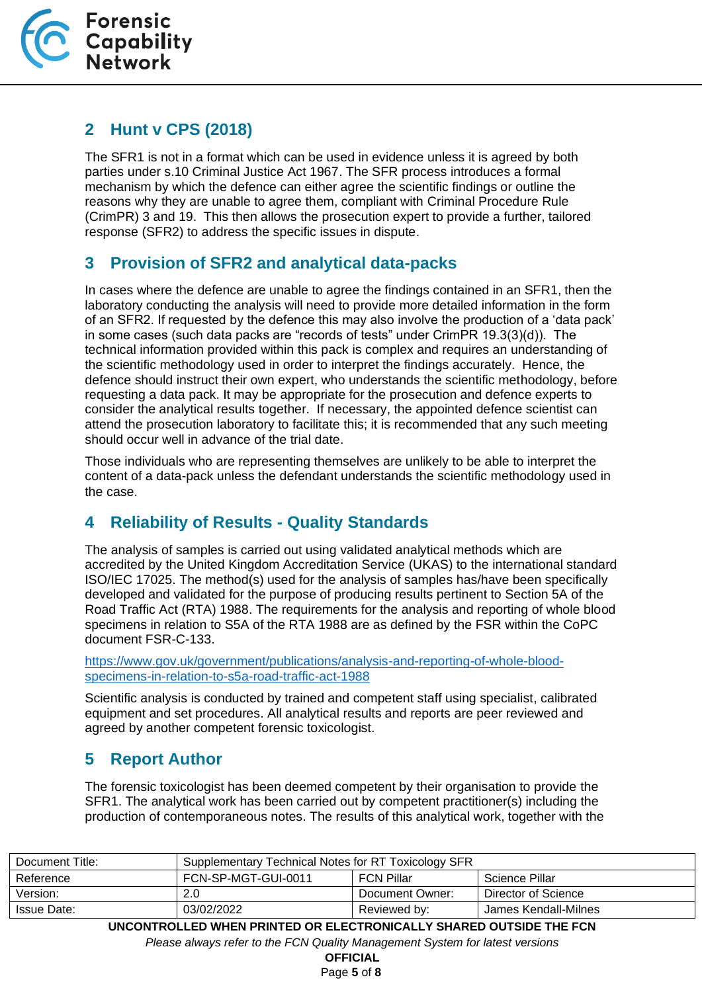

# <span id="page-4-0"></span>**2 Hunt v CPS (2018)**

The SFR1 is not in a format which can be used in evidence unless it is agreed by both parties under s.10 Criminal Justice Act 1967. The SFR process introduces a formal mechanism by which the defence can either agree the scientific findings or outline the reasons why they are unable to agree them, compliant with Criminal Procedure Rule (CrimPR) 3 and 19. This then allows the prosecution expert to provide a further, tailored response (SFR2) to address the specific issues in dispute.

# <span id="page-4-1"></span>**3 Provision of SFR2 and analytical data-packs**

In cases where the defence are unable to agree the findings contained in an SFR1, then the laboratory conducting the analysis will need to provide more detailed information in the form of an SFR2. If requested by the defence this may also involve the production of a 'data pack' in some cases (such data packs are "records of tests" under CrimPR 19.3(3)(d)). The technical information provided within this pack is complex and requires an understanding of the scientific methodology used in order to interpret the findings accurately. Hence, the defence should instruct their own expert, who understands the scientific methodology, before requesting a data pack. It may be appropriate for the prosecution and defence experts to consider the analytical results together. If necessary, the appointed defence scientist can attend the prosecution laboratory to facilitate this; it is recommended that any such meeting should occur well in advance of the trial date.

Those individuals who are representing themselves are unlikely to be able to interpret the content of a data-pack unless the defendant understands the scientific methodology used in the case.

# <span id="page-4-2"></span>**4 Reliability of Results - Quality Standards**

The analysis of samples is carried out using validated analytical methods which are accredited by the United Kingdom Accreditation Service (UKAS) to the international standard ISO/IEC 17025. The method(s) used for the analysis of samples has/have been specifically developed and validated for the purpose of producing results pertinent to Section 5A of the Road Traffic Act (RTA) 1988. The requirements for the analysis and reporting of whole blood specimens in relation to S5A of the RTA 1988 are as defined by the FSR within the CoPC document FSR-C-133.

[https://www.gov.uk/government/publications/analysis-and-reporting-of-whole-blood](https://www.gov.uk/government/publications/analysis-and-reporting-of-whole-blood-specimens-in-relation-to-s5a-road-traffic-act-1988)[specimens-in-relation-to-s5a-road-traffic-act-1988](https://www.gov.uk/government/publications/analysis-and-reporting-of-whole-blood-specimens-in-relation-to-s5a-road-traffic-act-1988)

Scientific analysis is conducted by trained and competent staff using specialist, calibrated equipment and set procedures. All analytical results and reports are peer reviewed and agreed by another competent forensic toxicologist.

# <span id="page-4-3"></span>**5 Report Author**

The forensic toxicologist has been deemed competent by their organisation to provide the SFR1. The analytical work has been carried out by competent practitioner(s) including the production of contemporaneous notes. The results of this analytical work, together with the

| Document Title:    | Supplementary Technical Notes for RT Toxicology SFR |                   |                      |
|--------------------|-----------------------------------------------------|-------------------|----------------------|
| Reference          | FCN-SP-MGT-GUI-0011                                 | <b>FCN Pillar</b> | Science Pillar       |
| Version:           | 2.0                                                 | Document Owner:   | Director of Science  |
| <b>Issue Date:</b> | 03/02/2022                                          | Reviewed by:      | James Kendall-Milnes |

**UNCONTROLLED WHEN PRINTED OR ELECTRONICALLY SHARED OUTSIDE THE FCN**

*Please always refer to the FCN Quality Management System for latest versions*

**OFFICIAL**

Page **5** of **8**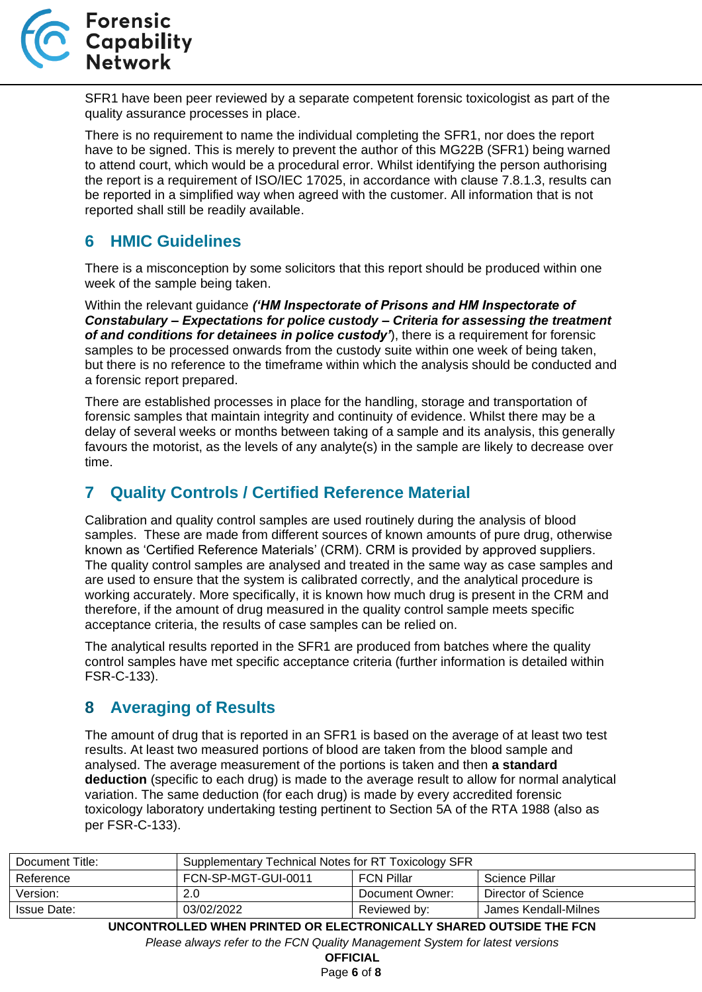

SFR1 have been peer reviewed by a separate competent forensic toxicologist as part of the quality assurance processes in place.

There is no requirement to name the individual completing the SFR1, nor does the report have to be signed. This is merely to prevent the author of this MG22B (SFR1) being warned to attend court, which would be a procedural error. Whilst identifying the person authorising the report is a requirement of ISO/IEC 17025, in accordance with clause 7.8.1.3, results can be reported in a simplified way when agreed with the customer. All information that is not reported shall still be readily available.

#### <span id="page-5-0"></span>**6 HMIC Guidelines**

There is a misconception by some solicitors that this report should be produced within one week of the sample being taken.

Within the relevant guidance *('HM Inspectorate of Prisons and HM Inspectorate of Constabulary – Expectations for police custody – Criteria for assessing the treatment of and conditions for detainees in police custody'*), there is a requirement for forensic samples to be processed onwards from the custody suite within one week of being taken, but there is no reference to the timeframe within which the analysis should be conducted and a forensic report prepared.

There are established processes in place for the handling, storage and transportation of forensic samples that maintain integrity and continuity of evidence. Whilst there may be a delay of several weeks or months between taking of a sample and its analysis, this generally favours the motorist, as the levels of any analyte(s) in the sample are likely to decrease over time.

#### <span id="page-5-1"></span>**7 Quality Controls / Certified Reference Material**

Calibration and quality control samples are used routinely during the analysis of blood samples. These are made from different sources of known amounts of pure drug, otherwise known as 'Certified Reference Materials' (CRM). CRM is provided by approved suppliers. The quality control samples are analysed and treated in the same way as case samples and are used to ensure that the system is calibrated correctly, and the analytical procedure is working accurately. More specifically, it is known how much drug is present in the CRM and therefore, if the amount of drug measured in the quality control sample meets specific acceptance criteria, the results of case samples can be relied on.

The analytical results reported in the SFR1 are produced from batches where the quality control samples have met specific acceptance criteria (further information is detailed within FSR-C-133).

# <span id="page-5-2"></span>**8 Averaging of Results**

The amount of drug that is reported in an SFR1 is based on the average of at least two test results. At least two measured portions of blood are taken from the blood sample and analysed. The average measurement of the portions is taken and then **a standard deduction** (specific to each drug) is made to the average result to allow for normal analytical variation. The same deduction (for each drug) is made by every accredited forensic toxicology laboratory undertaking testing pertinent to Section 5A of the RTA 1988 (also as per FSR-C-133).

| Document Title:                                                         | Supplementary Technical Notes for RT Toxicology SFR |                   |                      |
|-------------------------------------------------------------------------|-----------------------------------------------------|-------------------|----------------------|
| Reference                                                               | FCN-SP-MGT-GUI-0011                                 | <b>FCN Pillar</b> | Science Pillar       |
| Version:                                                                | 2.0                                                 | Document Owner:   | Director of Science  |
| Issue Date:                                                             | 03/02/2022                                          | Reviewed by:      | James Kendall-Milnes |
| IBIAAUTRALLER BUIEN BRINTER AR ELEATRAUIA ILLY AILLRER AUTAIRE TUE FAN. |                                                     |                   |                      |

**UNCONTROLLED WHEN PRINTED OR ELECTRONICALLY SHARED OUTSIDE THE FCN** *Please always refer to the FCN Quality Management System for latest versions*

**OFFICIAL**

Page **6** of **8**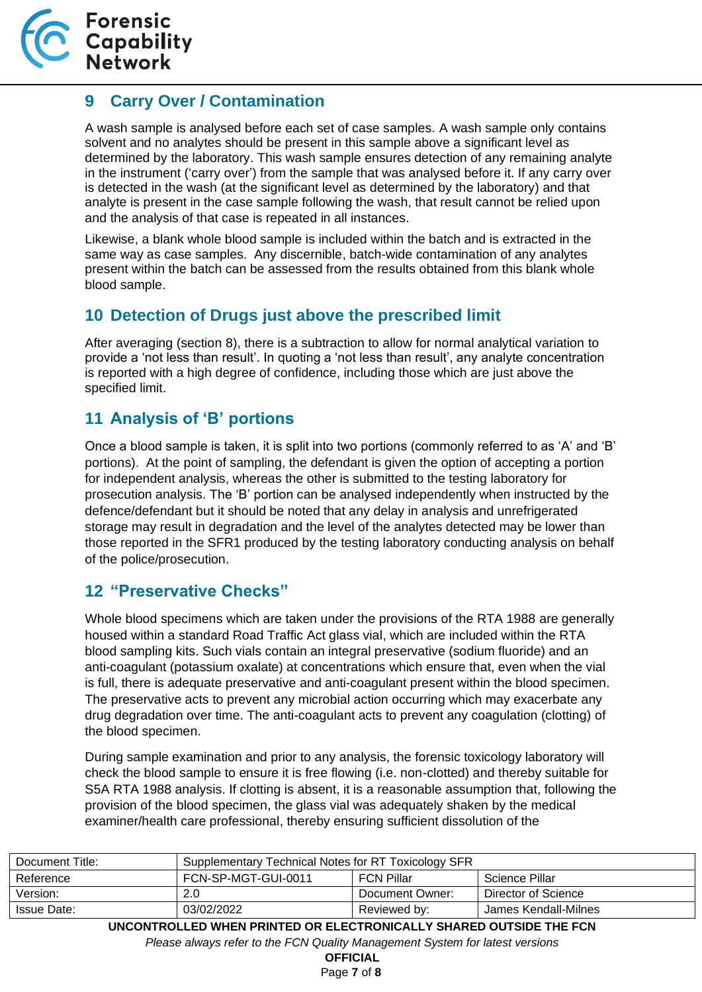

#### <span id="page-6-0"></span>**9 Carry Over / Contamination**

A wash sample is analysed before each set of case samples. A wash sample only contains solvent and no analytes should be present in this sample above a significant level as determined by the laboratory. This wash sample ensures detection of any remaining analyte in the instrument ('carry over') from the sample that was analysed before it. If any carry over is detected in the wash (at the significant level as determined by the laboratory) and that analyte is present in the case sample following the wash, that result cannot be relied upon and the analysis of that case is repeated in all instances.

Likewise, a blank whole blood sample is included within the batch and is extracted in the same way as case samples. Any discernible, batch-wide contamination of any analytes present within the batch can be assessed from the results obtained from this blank whole blood sample.

#### <span id="page-6-1"></span>**10 Detection of Drugs just above the prescribed limit**

After averaging (section 8), there is a subtraction to allow for normal analytical variation to provide a 'not less than result'. In quoting a 'not less than result', any analyte concentration is reported with a high degree of confidence, including those which are just above the specified limit.

#### <span id="page-6-2"></span>**11 Analysis of 'B' portions**

Once a blood sample is taken, it is split into two portions (commonly referred to as 'A' and 'B' portions). At the point of sampling, the defendant is given the option of accepting a portion for independent analysis, whereas the other is submitted to the testing laboratory for prosecution analysis. The 'B' portion can be analysed independently when instructed by the defence/defendant but it should be noted that any delay in analysis and unrefrigerated storage may result in degradation and the level of the analytes detected may be lower than those reported in the SFR1 produced by the testing laboratory conducting analysis on behalf of the police/prosecution.

#### <span id="page-6-3"></span>**12 "Preservative Checks"**

Whole blood specimens which are taken under the provisions of the RTA 1988 are generally housed within a standard Road Traffic Act glass vial, which are included within the RTA blood sampling kits. Such vials contain an integral preservative (sodium fluoride) and an anti-coagulant (potassium oxalate) at concentrations which ensure that, even when the vial is full, there is adequate preservative and anti-coagulant present within the blood specimen. The preservative acts to prevent any microbial action occurring which may exacerbate any drug degradation over time. The anti-coagulant acts to prevent any coagulation (clotting) of the blood specimen.

During sample examination and prior to any analysis, the forensic toxicology laboratory will check the blood sample to ensure it is free flowing (i.e. non-clotted) and thereby suitable for S5A RTA 1988 analysis. If clotting is absent, it is a reasonable assumption that, following the provision of the blood specimen, the glass vial was adequately shaken by the medical examiner/health care professional, thereby ensuring sufficient dissolution of the

| Document Title:                                                                | Supplementary Technical Notes for RT Toxicology SFR |                   |                      |
|--------------------------------------------------------------------------------|-----------------------------------------------------|-------------------|----------------------|
| Reference                                                                      | FCN-SP-MGT-GUI-0011                                 | <b>FCN Pillar</b> | Science Pillar       |
| Version:                                                                       | 2.0                                                 | Document Owner:   | Director of Science  |
| Issue Date:                                                                    | 03/02/2022                                          | Reviewed by:      | James Kendall-Milnes |
| .  . <del>.</del> ___ __ _ . _<br>---- <i>--------------------------------</i> |                                                     |                   |                      |

**UNCONTROLLED WHEN PRINTED OR ELECTRONICALLY SHARED OUTSIDE THE FCN** *Please always refer to the FCN Quality Management System for latest versions*

**OFFICIAL**

Page **7** of **8**